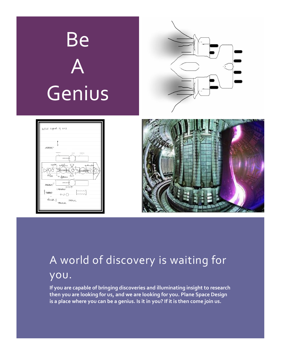

# A world of discovery is waiting for you.

**If you are capable of bringing discoveries and illuminating insight to research then you are looking for us, and we are looking for you. Plane Space Design is a place where you can be a genius. Is it in you? If it is then come join us.**